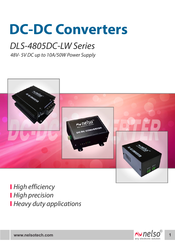# **DC-DC Converters**

## DLS-4805DC-LW Series

48V- 5V DC up to 10A/50W Power Supply



**High efficiency High precision Heavy duty applications** 

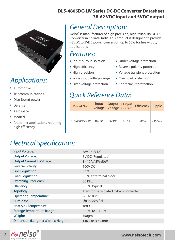#### **DLS-4805DC-LW Series DC-DC Converter Datasheet 38-62 VDC Input and 5VDC output**



## Applications:

- . Automotive
- . Telecommunications
- . . Distributed power
- Defense
- . Aerospace
- Aerospa<br>• Medical
- . And other applications requiring high efficiency

### General Description:

Nelso<sup>®</sup> is manufacturer of high precision, high reliability DC-DC Converter in Kolkata, India. This product is designed to provide 48VDC to 5VDC power conversion up to 50W for heavy duty applications.

#### Features:

- I CULUICS.<br>• Input-output isolation
- Input-output is<br>• High efficiency
- High efficiency<br>• High precision
- High precision<br>• Wide input voltage range
- Wide input voltage rang<br>• Over-voltage protection
- Under voltage protection .
- Under voltage protection<br>• Reverse polarity protection
- Reverse polarity protection<br>• Voltage transient protection
- Voltage transient pro<br>• Over load protection
- Over load protection<br>• Short circuit protection

#### Quick Reference Data:

| Model No.     | Input<br>Voltage | Output Output<br>Voltage Current |         | <b>Efficiency</b> | Ripple    |
|---------------|------------------|----------------------------------|---------|-------------------|-----------|
| DLS-4805DC-LW | 48V DC           | 5V DC                            | $1-10A$ | $>80\%$           | $<$ 150mV |

## Electrical Specification:

| Input Voltage:                       | 38V - 62V DC                           |  |  |
|--------------------------------------|----------------------------------------|--|--|
| <b>Output Voltage:</b>               | 5V DC (Regulated)                      |  |  |
| <b>Output Current / Wattage:</b>     | 1 - 10A / 5W-50W                       |  |  |
| <b>Reverse Polarity:</b>             | 100V DC                                |  |  |
| Line Regulation:                     | ±1%                                    |  |  |
| Load Regulation:                     | $±$ 5% at terminal block               |  |  |
| <b>Switching Frequency:</b>          | 80 KHz                                 |  |  |
| <b>Efficiency:</b>                   | >80% Typical                           |  |  |
| Topology:                            | Transformer isolated flyback converter |  |  |
| <b>Operating Temperature:</b>        | -20 to 80 $^{\circ}$ C                 |  |  |
| Humidity:                            | Up to 95% RH                           |  |  |
| <b>Heat Sink Temperature:</b>        | $100^{\circ}$ C                        |  |  |
| <b>Storage Temperature Range:</b>    | $-55^{\circ}$ C to + 105 $^{\circ}$ C  |  |  |
| Weight:                              | 550gm                                  |  |  |
| Dimension (Length x Width x Height): | $146 \times 84 \times 57$ mm           |  |  |